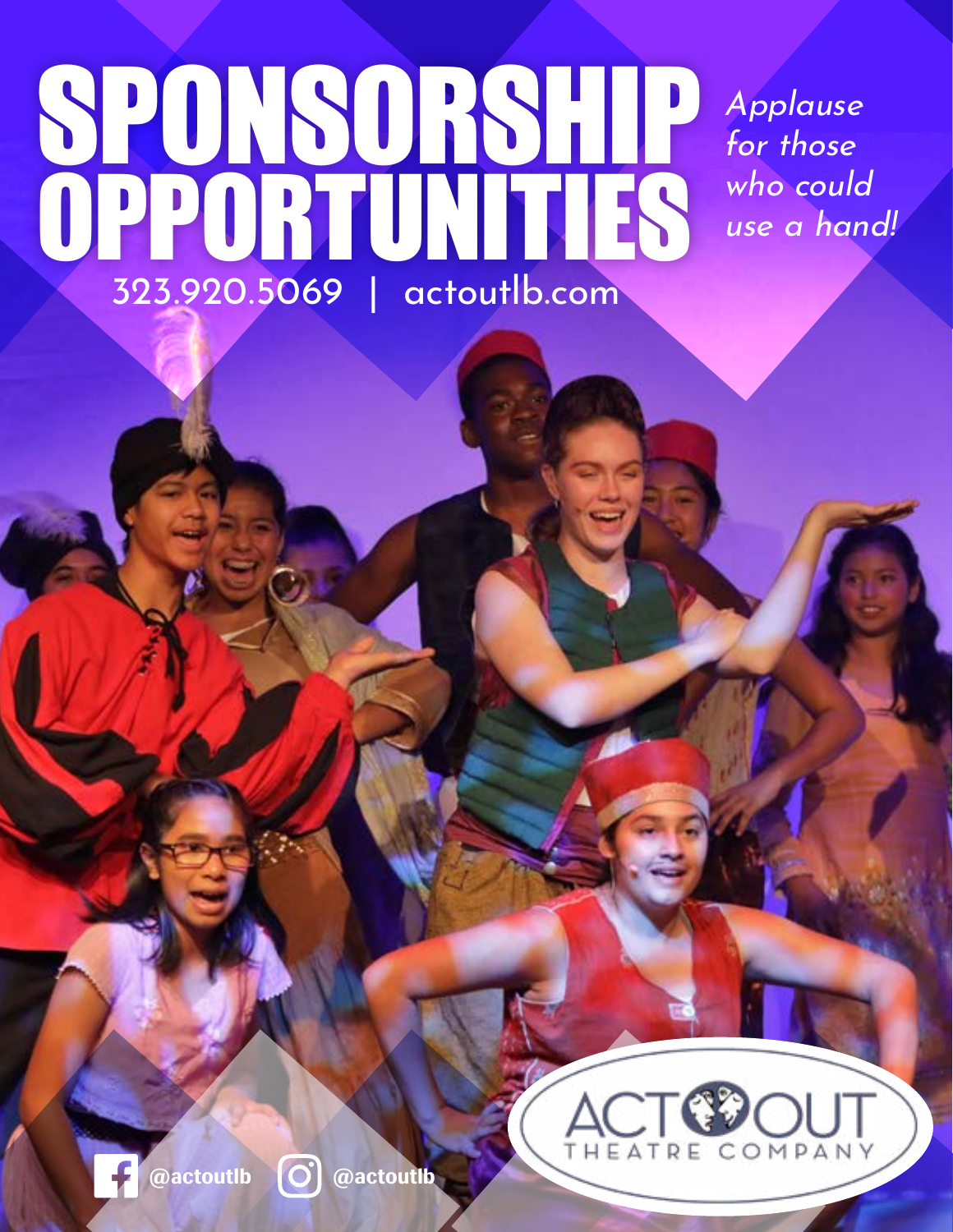## SPONSORSHIP OPPORTUNITIES 323.920.5069 | actoutlb.com

Applause for those who could use a hand!



**@actoutlb @actoutlb**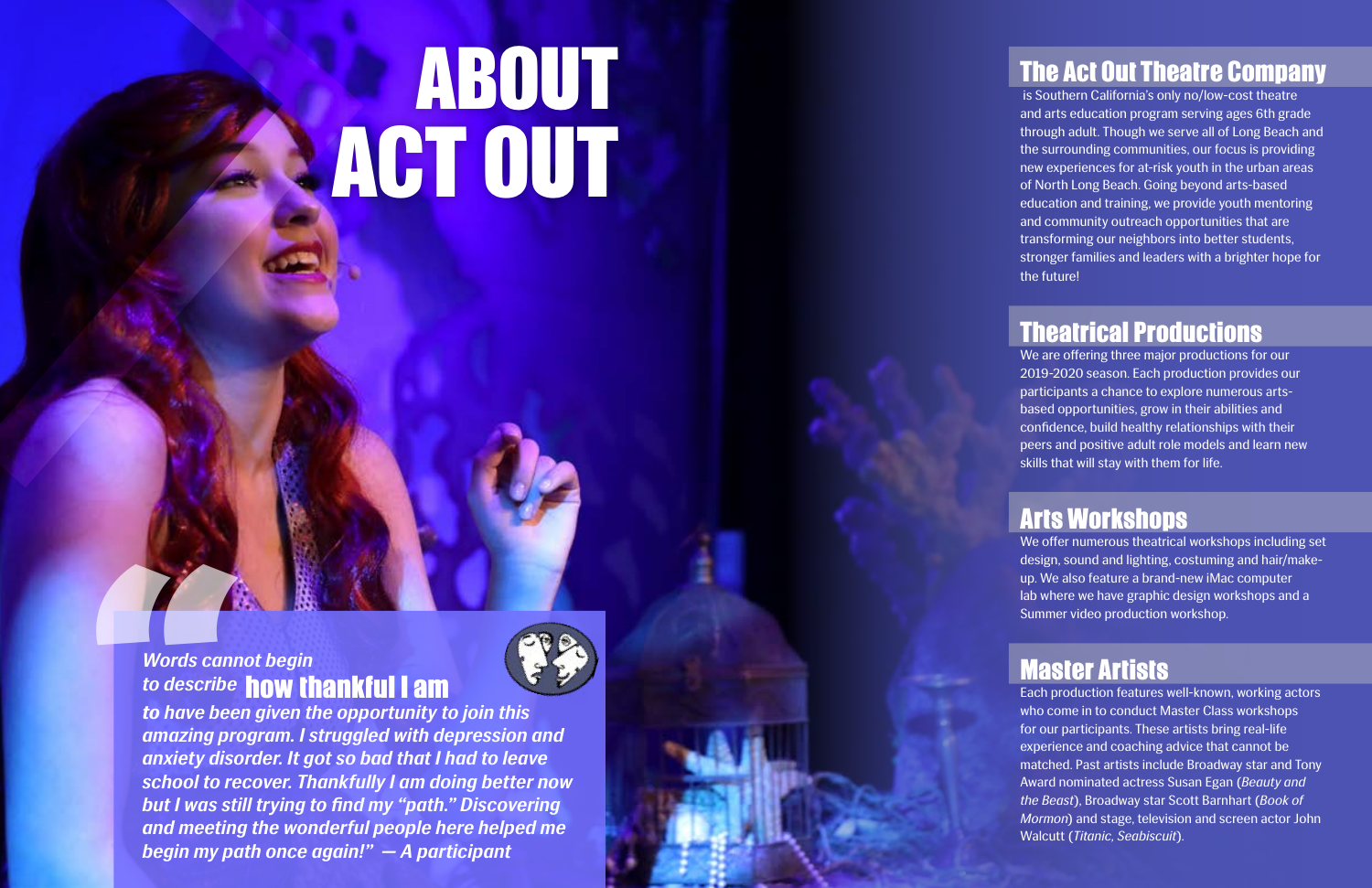#### The Act Out Theatre Company

is Southern California's only no/low-cost theatre and arts education program serving ages 6th grade through adult. Though we serve all of Long Beach and the surrounding communities, our focus is providing new experiences for at-risk youth in the urban areas of North Long Beach. Going beyond arts-based education and training, we provide youth mentoring and community outreach opportunities that are transforming our neighbors into better students, stronger families and leaders with a brighter hope for the future!

#### Theatrical Productions

We are offering three major productions for our 2019-2020 season. Each production provides our participants a chance to explore numerous artsbased opportunities, grow in their abilities and confidence, build healthy relationships with their peers and positive adult role models and learn new skills that will stay with them for life.

#### Arts Workshops

**1999 Words cannot to describe to have been**<br>amazing profile and write the describering anxiety dison<br>school to red but I was still and meeting begin my pat *to have been given the opportunity to join this amazing program. I struggled with depression and anxiety disorder. It got so bad that I had to leave school to recover. Thankfully I am doing better now but I was still trying to find my "path." Discovering and meeting the wonderful people here helped me begin my path once again!" — A participant*

We offer numerous theatrical workshops including set design, sound and lighting, costuming and hair/makeup. We also feature a brand-new iMac computer lab where we have graphic design workshops and a Summer video production workshop.

#### Master Artists

Each production features well-known, working actors who come in to conduct Master Class workshops for our participants. These artists bring real-life experience and coaching advice that cannot be matched. Past artists include Broadway star and Tony Award nominated actress Susan Egan (*Beauty and the Beast*), Broadway star Scott Barnhart (*Book of Mormon*) and stage, television and screen actor John Walcutt (*Titanic, Seabiscuit*).

# ACT OUT **ABOUT**

#### *Words cannot begin to describe* how thankful I am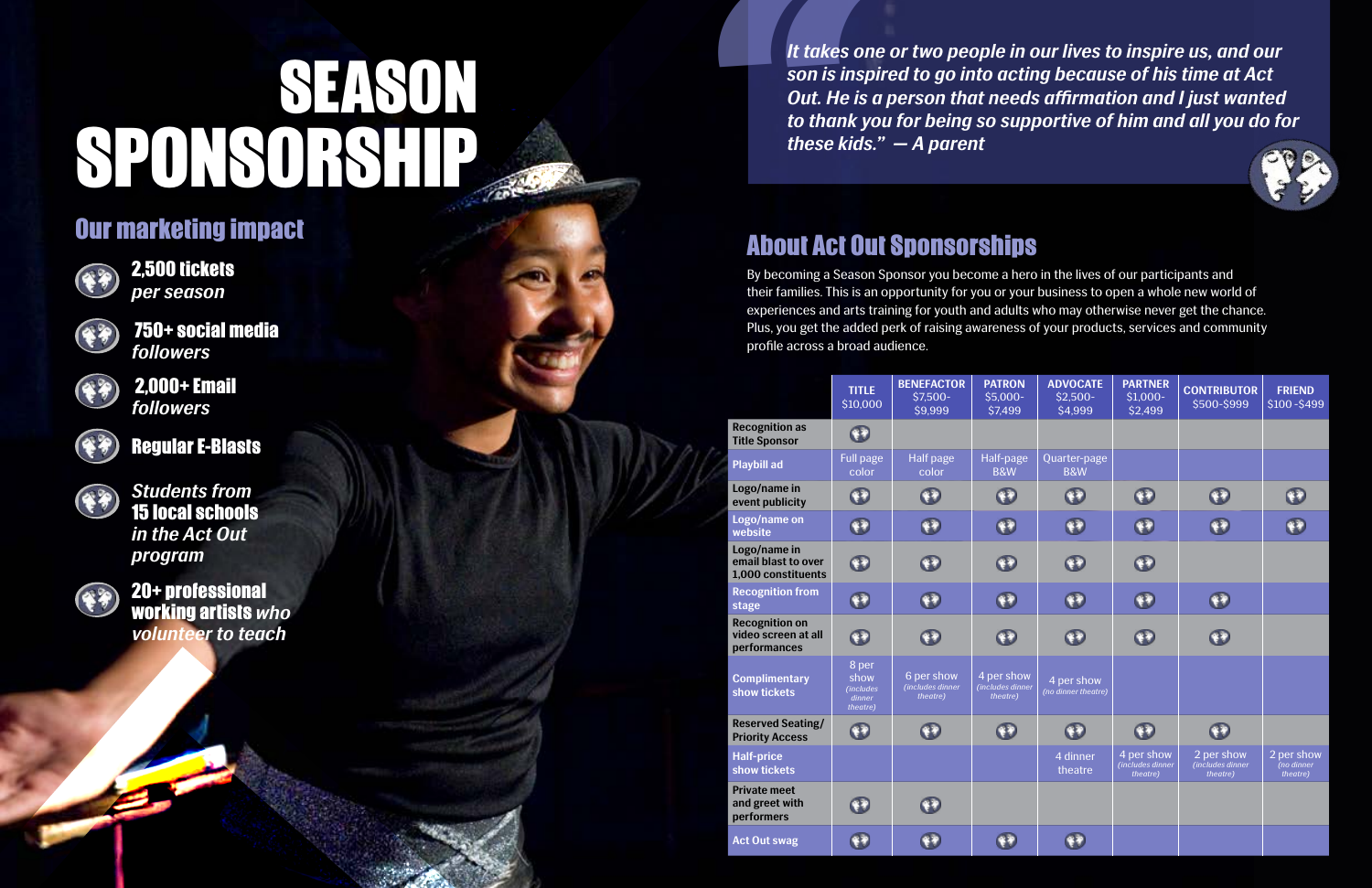# SPONSORSH SEASON

|                                                              | <b>TITLE</b><br>\$10,000                          | <b>BENEFACTOR</b><br>$$7,500-$<br>\$9,999  | <b>PATRON</b><br>$$5,000-$<br>\$7,499      | <b>ADVOCATE</b><br>$$2,500-$<br>\$4,999 | <b>PARTNER</b><br>$$1,000-$<br>\$2,499     | <b>CONTRIBUTOR</b><br>\$500-\$999          | <b>FRIEND</b><br>\$100-\$499        |
|--------------------------------------------------------------|---------------------------------------------------|--------------------------------------------|--------------------------------------------|-----------------------------------------|--------------------------------------------|--------------------------------------------|-------------------------------------|
| <b>Recognition as</b><br><b>Title Sponsor</b>                | $\bullet$                                         |                                            |                                            |                                         |                                            |                                            |                                     |
| <b>Playbill ad</b>                                           | <b>Full page</b><br>color                         | <b>Half page</b><br>color                  | Half-page<br><b>B&amp;W</b>                | Quarter-page<br><b>B&amp;W</b>          |                                            |                                            |                                     |
| Logo/name in<br>event publicity                              | $\mathbf \Omega$                                  | $\mathbf \Omega$                           | $\mathbf \Omega$                           | $\mathbf \Omega$                        | $\mathbf \Omega$                           | $\bigodot$                                 |                                     |
| Logo/name on<br>website                                      | Ð                                                 | $\mathbf{P}$                               | Đ                                          | $\mathbf{P}$                            | Ð                                          | $\mathbf{v}$                               | ۴ł                                  |
| Logo/name in<br>email blast to over<br>1,000 constituents    | $\bigcirc$                                        | ¥9                                         | $\bigcirc$                                 | $\bullet$                               | $\mathbf{C}$                               |                                            |                                     |
| <b>Recognition from</b><br>stage                             | $^\circledR$                                      | $^\circledR$                               | $\bullet$                                  | $\mathbf \Omega$                        | $\mathbf \Omega$                           | $\mathbf 0$                                |                                     |
| <b>Recognition on</b><br>video screen at all<br>performances | $\bigcirc$                                        | <b>FE</b>                                  | $\mathbf \Theta$                           | $\bullet$                               | $\mathbf \Theta$                           | $\mathbf{O}$                               |                                     |
| <b>Complimentary</b><br>show tickets                         | 8 per<br>show<br>(includes)<br>dinner<br>theatre) | 6 per show<br>(includes dinner<br>theatre) | 4 per show<br>(includes dinner<br>theatre) | 4 per show<br>(no dinner theatre)       |                                            |                                            |                                     |
| <b>Reserved Seating/</b><br><b>Priority Access</b>           | $\odot$                                           | ¥¥)                                        | $\bullet$                                  | ¥Đ                                      | Ŵ                                          | $\bullet$                                  |                                     |
| <b>Half-price</b><br>show tickets                            |                                                   |                                            |                                            | 4 dinner<br>theatre                     | 4 per show<br>(includes dinner<br>theatre) | 2 per show<br>(includes dinner<br>theatre) | 2 per show<br>no dinner<br>theatre) |
| <b>Private meet</b><br>and greet with<br>performers          | $*$                                               | 47                                         |                                            |                                         |                                            |                                            |                                     |
| <b>Act Out swag</b>                                          | 安宁                                                | ¥¥                                         |                                            |                                         |                                            |                                            |                                     |



By becoming a Season Sponsor you become a hero in the lives of our participants and their families. This is an opportunity for you or your business to open a whole new world of experiences and arts training for youth and adults who may otherwise never get the chance. Plus, you get the added perk of raising awareness of your products, services and community profile across a broad audience. It takes or<br>
son is insp<br>
Out. He is<br>
to thank y<br>
these kids<br>
these kids<br>
son is is a<br>
soluter families. This is a<br>
experiences and arts thus, you get the adde<br>
profile across a broad<br>
profile across a broad<br>
Recognition a

### About Act Out Sponsorships

#### Our marketing impact



2,500 tickets *per season*



*Students from*  15 local schools *in the Act Out program*



20+ professional working artists *who volunteer to teach* 

 750+ social media *followers*



 2,000+ Email *followers*



Regular E-Blasts



*It takes one or two people in our lives to inspire us, and our son is inspired to go into acting because of his time at Act Out. He is a person that needs affirmation and I just wanted to thank you for being so supportive of him and all you do for these kids." — A parent*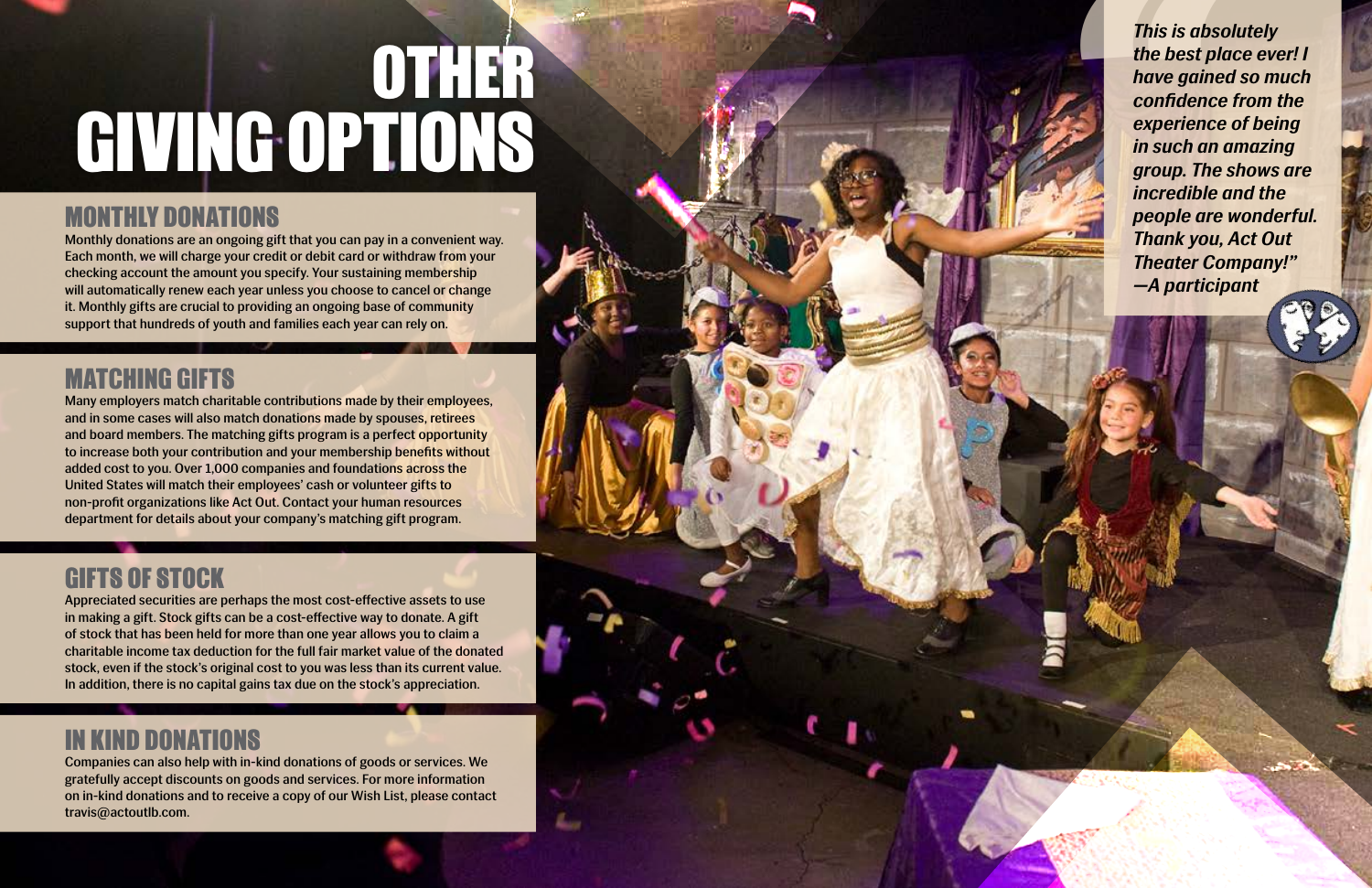# GIVING OPTIONS OTHER

#### MONTHLY DONATIONS

Monthly donations are an ongoing gift that you can pay in a convenient way. Each month, we will charge your credit or debit card or withdraw from your checking account the amount you specify. Your sustaining membership will automatically renew each year unless you choose to cancel or change it. Monthly gifts are crucial to providing an ongoing base of community support that hundreds of youth and families each year can rely on.

### MATCHING GIFTS

Many employers match charitable contributions made by their employees, and in some cases will also match donations made by spouses, retirees and board members. The matching gifts program is a perfect opportunity to increase both your contribution and your membership benefits without added cost to you. Over 1,000 companies and foundations across the United States will match their employees' cash or volunteer gifts to non-profit organizations like Act Out. Contact your human resources department for details about your company's matching gift program.

This is absolute best plands the best plands are gained confidence experience in such an a group. The sense incredible a people are v<br>Thank you, the sense of the people are v<br>Thank you, the sense of the people are v<br> $\frac{1}{$ *This is absolutely the best place ever! I have gained so much confidence from the experience of being in such an amazing group. The shows are incredible and the people are wonderful. Thank you, Act Out Theater Company!" —A participant* 

#### GIFTS OF STOCK

Appreciated securities are perhaps the most cost-effective assets to use in making a gift. Stock gifts can be a cost-effective way to donate. A gift of stock that has been held for more than one year allows you to claim a charitable income tax deduction for the full fair market value of the donated stock, even if the stock's original cost to you was less than its current value. In addition, there is no capital gains tax due on the stock's appreciation.

#### IN KIND DONATIONS

Companies can also help with in-kind donations of goods or services. We gratefully accept discounts on goods and services. For more information on in-kind donations and to receive a copy of our Wish List, please contact travis@actoutlb.com.